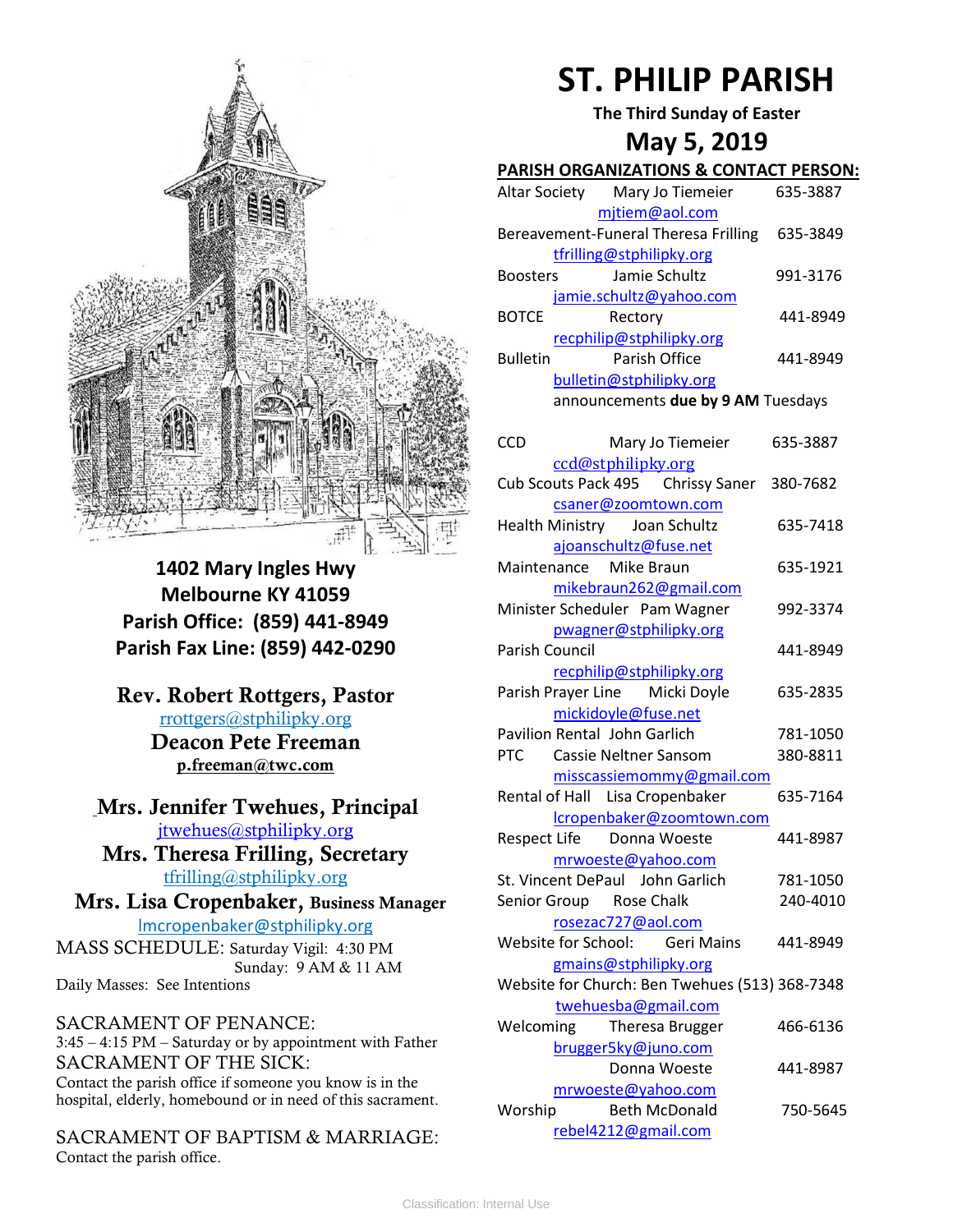

**1402 Mary Ingles Hwy Melbourne KY 41059 Parish Office: (859) 441-8949 Parish Fax Line: (859) 442-0290**

**Rev. Robert Rottgers, Pastor**  [rrottgers@stphilipky.org](mailto:rrottgers@stphilipky.org) **Deacon Pete Freeman p.freeman@twc.com**

**Mrs. Jennifer Twehues, Principal** [jtwehues@stphilipky.org](mailto:jtwehues@stphilipky.org)

**Mrs. Theresa Frilling, Secretary**  [tfrilling@stphilipky.org](mailto:tfrilling@stphilipky.org)

 **Mrs. Lisa Cropenbaker, Business Manager**  lmcropenbaker@stphilipky.org

MASS SCHEDULE: Saturday Vigil: 4:30 PM Sunday: 9 AM & 11 AM Daily Masses: See Intentions

SACRAMENT OF PENANCE: 3:45 – 4:15 PM – Saturday or by appointment with Father SACRAMENT OF THE SICK: Contact the parish office if someone you know is in the hospital, elderly, homebound or in need of this sacrament.

SACRAMENT OF BAPTISM & MARRIAGE: Contact the parish office.

# **ST. PHILIP PARISH**

**The Third Sunday of Easter**

## **May 5, 2019**

#### **PARISH ORGANIZATIONS & CONTACT PERSON:**

| Altar Society            | Mary Jo Tiemeier                     | 635-3887 |  |
|--------------------------|--------------------------------------|----------|--|
|                          | mjtiem@aol.com                       |          |  |
|                          | Bereavement-Funeral Theresa Frilling | 635-3849 |  |
| tfrilling@stphilipky.org |                                      |          |  |
| <b>Boosters</b>          | Jamie Schultz                        | 991-3176 |  |
|                          | jamie.schultz@yahoo.com              |          |  |
| <b>BOTCE</b>             | Rectory                              | 441-8949 |  |
|                          | recphilip@stphilipky.org             |          |  |
| <b>Bulletin</b>          | Parish Office                        | 441-8949 |  |
|                          | bulletin@stphilipky.org              |          |  |
|                          | announcements due by 9 AM Tuesdays   |          |  |

| <b>CCD</b>            | Mary Jo Tiemeier                               | 635-3887 |
|-----------------------|------------------------------------------------|----------|
|                       | ccd@stphilipky.org                             |          |
|                       | Cub Scouts Pack 495 Chrissy Saner              | 380-7682 |
|                       | csaner@zoomtown.com                            |          |
|                       | Health Ministry Joan Schultz                   | 635-7418 |
|                       | ajoanschultz@fuse.net                          |          |
|                       | Maintenance Mike Braun                         | 635-1921 |
|                       | mikebraun262@gmail.com                         |          |
|                       | Minister Scheduler Pam Wagner                  | 992-3374 |
|                       | pwagner@stphilipky.org                         |          |
| <b>Parish Council</b> |                                                | 441-8949 |
|                       | recphilip@stphilipky.org                       |          |
|                       | Parish Prayer Line Micki Doyle                 | 635-2835 |
|                       | mickidoyle@fuse.net                            |          |
|                       | <b>Pavilion Rental John Garlich</b>            | 781-1050 |
| <b>PTC</b>            | <b>Cassie Neltner Sansom</b>                   | 380-8811 |
|                       | misscassiemommy@gmail.com                      |          |
|                       | Rental of Hall Lisa Cropenbaker                | 635-7164 |
|                       | lcropenbaker@zoomtown.com                      |          |
|                       | Respect Life Donna Woeste                      | 441-8987 |
|                       | mrwoeste@yahoo.com                             |          |
|                       | St. Vincent DePaul John Garlich                | 781-1050 |
|                       | Senior Group Rose Chalk                        | 240-4010 |
|                       | rosezac727@aol.com                             |          |
|                       | Website for School: Geri Mains                 | 441-8949 |
|                       | gmains@stphilipky.org                          |          |
|                       | Website for Church: Ben Twehues (513) 368-7348 |          |
|                       | twehuesba@gmail.com                            |          |
| Welcoming             | Theresa Brugger                                | 466-6136 |
|                       | brugger5ky@juno.com                            |          |
|                       | Donna Woeste                                   | 441-8987 |
|                       | mrwoeste@yahoo.com                             |          |
| Worship               | <b>Beth McDonald</b>                           | 750-5645 |
|                       | rebel4212@gmail.com                            |          |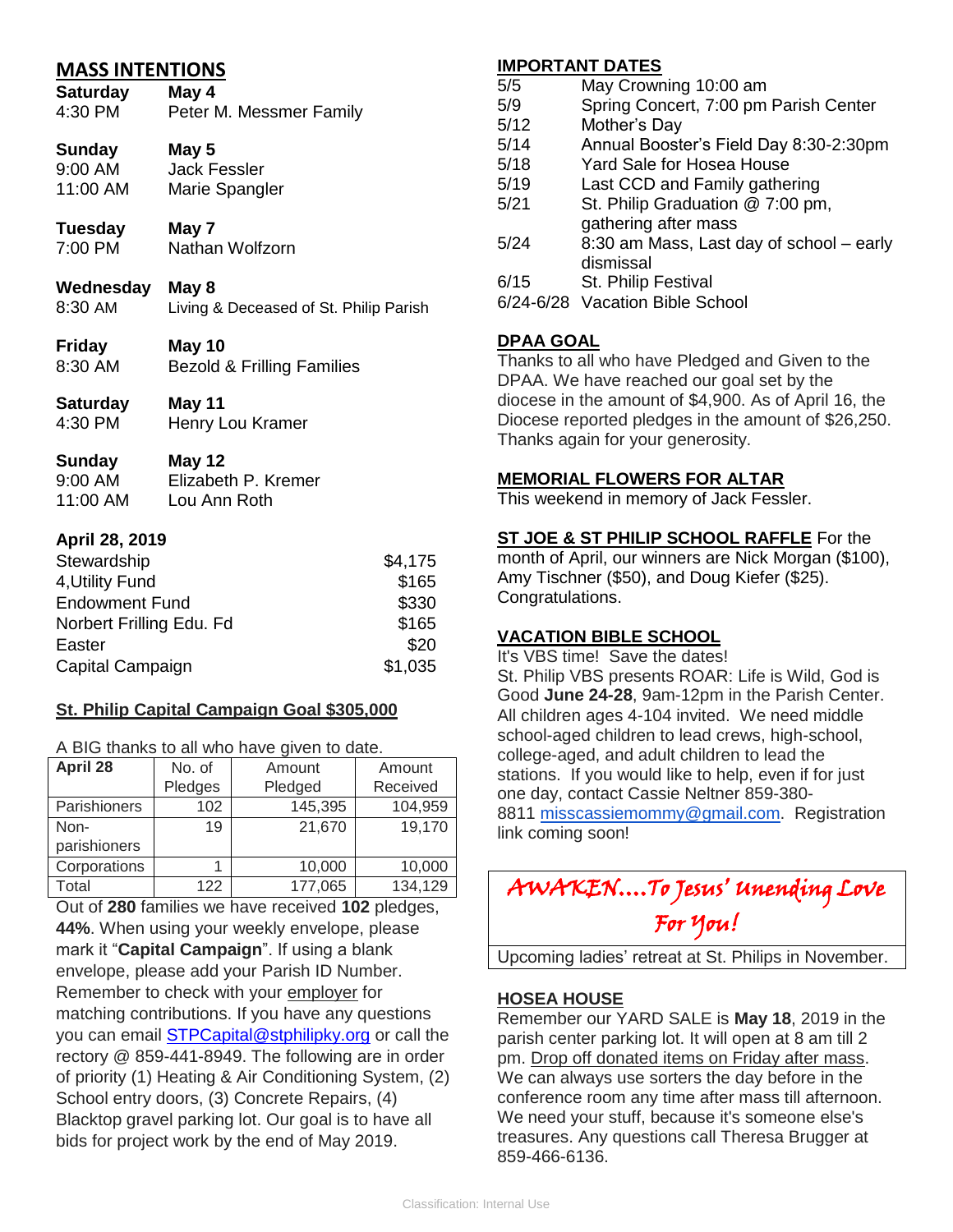| <b>MASS INTENTIONS</b><br><b>Saturday</b><br>4:30 PM | May 4<br>Peter M. Messmer Family       |
|------------------------------------------------------|----------------------------------------|
| Sunday May 5<br>9:00 AM<br>11:00 AM                  | <b>Jack Fessler</b><br>Marie Spangler  |
| Tuesday                                              | May 7                                  |
| 7:00 PM                                              | Nathan Wolfzorn                        |
| Wednesday May 8<br>8:30 AM                           | Living & Deceased of St. Philip Parish |
| Friday                                               | May 10                                 |
| 8:30 AM                                              | <b>Bezold &amp; Frilling Families</b>  |
| Saturday                                             | May 11                                 |
| 4:30 PM                                              | Henry Lou Kramer                       |
| Sunday                                               | May 12                                 |
| 9:00 AM                                              | Elizabeth P. Kremer                    |
| 11:00 AM                                             | Lou Ann Roth                           |
| April 28, 2019                                       |                                        |

| Stewardship               | \$4,175 |
|---------------------------|---------|
| 4, Utility Fund           | \$165   |
| <b>Endowment Fund</b>     | \$330   |
| Norbert Frilling Edu. Fd. | \$165   |
| Easter                    | \$20    |
| Capital Campaign          | \$1,035 |

### **St. Philip Capital Campaign Goal \$305,000**

A BIG thanks to all who have given to date.

| April 28     | No. of  | Amount  | Amount   |
|--------------|---------|---------|----------|
|              | Pledges | Pledged | Received |
| Parishioners | 102     | 145,395 | 104,959  |
| Non-         | 19      | 21,670  | 19,170   |
| parishioners |         |         |          |
| Corporations |         | 10,000  | 10,000   |
| Total        | 122     | 177,065 | 134,129  |

Out of **280** families we have received **102** pledges, **44%**. When using your weekly envelope, please mark it "**Capital Campaign**". If using a blank envelope, please add your Parish ID Number. Remember to check with your employer for matching contributions. If you have any questions you can email [STPCapital@stphilipky.org](mailto:STPCapital@stphilipky.org) or call the rectory @ 859-441-8949. The following are in order of priority (1) Heating & Air Conditioning System, (2) School entry doors, (3) Concrete Repairs, (4) Blacktop gravel parking lot. Our goal is to have all bids for project work by the end of May 2019.

#### **IMPORTANT DATES**

- 5/5 May Crowning 10:00 am
- 5/9 Spring Concert, 7:00 pm Parish Center
- 5/12 Mother's Day
- 5/14 Annual Booster's Field Day 8:30-2:30pm
- 5/18 Yard Sale for Hosea House
- 5/19 Last CCD and Family gathering
- 5/21 St. Philip Graduation @ 7:00 pm, gathering after mass
- 5/24 8:30 am Mass, Last day of school early dismissal
- 6/15 St. Philip Festival
- 6/24-6/28 Vacation Bible School

### **DPAA GOAL**

Thanks to all who have Pledged and Given to the DPAA. We have reached our goal set by the diocese in the amount of \$4,900. As of April 16, the Diocese reported pledges in the amount of \$26,250. Thanks again for your generosity.

### **MEMORIAL FLOWERS FOR ALTAR**

This weekend in memory of Jack Fessler.

#### **ST JOE & ST PHILIP SCHOOL RAFFLE** For the

month of April, our winners are Nick Morgan (\$100), Amy Tischner (\$50), and Doug Kiefer (\$25). Congratulations.

### **VACATION BIBLE SCHOOL**

It's VBS time! Save the dates!

St. Philip VBS presents ROAR: Life is Wild, God is Good **June 24-28**, 9am-12pm in the Parish Center. All children ages 4-104 invited. We need middle school-aged children to lead crews, high-school, college-aged, and adult children to lead the stations. If you would like to help, even if for just one day, contact Cassie Neltner 859-380- 8811 [misscassiemommy@gmail.com.](mailto:misscassiemommy@gmail.com) Registration link coming soon!

| AWAKENTo Jesus' unending Love |  |
|-------------------------------|--|
| For You!                      |  |

Upcoming ladies' retreat at St. Philips in November.

#### **HOSEA HOUSE**

Remember our YARD SALE is **May 18**, 2019 in the parish center parking lot. It will open at 8 am till 2 pm. Drop off donated items on Friday after mass. We can always use sorters the day before in the conference room any time after mass till afternoon. We need your stuff, because it's someone else's treasures. Any questions call Theresa Brugger at 859-466-6136.